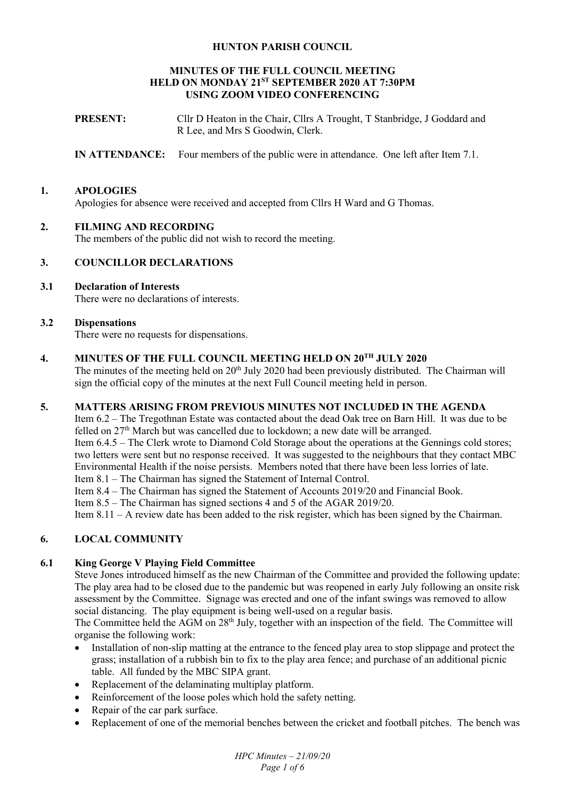## **HUNTON PARISH COUNCIL**

#### **MINUTES OF THE FULL COUNCIL MEETING HELD ON MONDAY 21ST SEPTEMBER 2020 AT 7:30PM USING ZOOM VIDEO CONFERENCING**

**PRESENT:** Cllr D Heaton in the Chair, Cllrs A Trought, T Stanbridge, J Goddard and R Lee, and Mrs S Goodwin, Clerk.

**IN ATTENDANCE:** Four members of the public were in attendance. One left after Item 7.1.

## **1. APOLOGIES**

Apologies for absence were received and accepted from Cllrs H Ward and G Thomas.

## **2. FILMING AND RECORDING**

The members of the public did not wish to record the meeting.

## **3. COUNCILLOR DECLARATIONS**

# **3.1 Declaration of Interests**

There were no declarations of interests.

#### **3.2 Dispensations**

There were no requests for dispensations.

#### **4. MINUTES OF THE FULL COUNCIL MEETING HELD ON 20TH JULY 2020**

The minutes of the meeting held on 20<sup>th</sup> July 2020 had been previously distributed. The Chairman will sign the official copy of the minutes at the next Full Council meeting held in person.

# **5. MATTERS ARISING FROM PREVIOUS MINUTES NOT INCLUDED IN THE AGENDA**

Item 6.2 – The Tregothnan Estate was contacted about the dead Oak tree on Barn Hill. It was due to be felled on  $27<sup>th</sup>$  March but was cancelled due to lockdown; a new date will be arranged. Item 6.4.5 – The Clerk wrote to Diamond Cold Storage about the operations at the Gennings cold stores; two letters were sent but no response received. It was suggested to the neighbours that they contact MBC Environmental Health if the noise persists. Members noted that there have been less lorries of late. Item 8.1 – The Chairman has signed the Statement of Internal Control.

Item 8.4 – The Chairman has signed the Statement of Accounts 2019/20 and Financial Book.

Item 8.5 – The Chairman has signed sections 4 and 5 of the AGAR 2019/20.

Item 8.11 – A review date has been added to the risk register, which has been signed by the Chairman.

# **6. LOCAL COMMUNITY**

#### **6.1 King George V Playing Field Committee**

Steve Jones introduced himself as the new Chairman of the Committee and provided the following update: The play area had to be closed due to the pandemic but was reopened in early July following an onsite risk assessment by the Committee. Signage was erected and one of the infant swings was removed to allow social distancing. The play equipment is being well-used on a regular basis.

The Committee held the AGM on 28<sup>th</sup> July, together with an inspection of the field. The Committee will organise the following work:

- Installation of non-slip matting at the entrance to the fenced play area to stop slippage and protect the grass; installation of a rubbish bin to fix to the play area fence; and purchase of an additional picnic table. All funded by the MBC SIPA grant.
- Replacement of the delaminating multiplay platform.
- Reinforcement of the loose poles which hold the safety netting.
- Repair of the car park surface.
- Replacement of one of the memorial benches between the cricket and football pitches. The bench was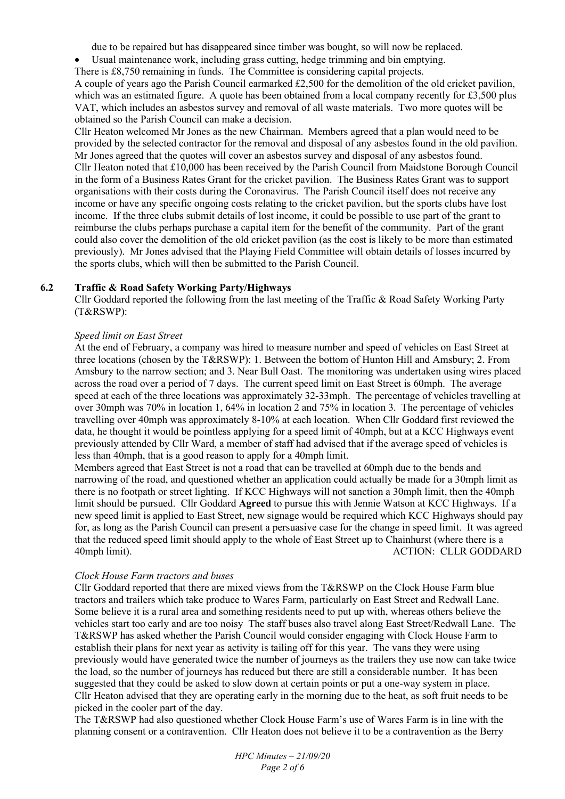due to be repaired but has disappeared since timber was bought, so will now be replaced.

- Usual maintenance work, including grass cutting, hedge trimming and bin emptying.
- There is £8,750 remaining in funds. The Committee is considering capital projects.

A couple of years ago the Parish Council earmarked £2,500 for the demolition of the old cricket pavilion, which was an estimated figure. A quote has been obtained from a local company recently for £3,500 plus VAT, which includes an asbestos survey and removal of all waste materials. Two more quotes will be obtained so the Parish Council can make a decision.

Cllr Heaton welcomed Mr Jones as the new Chairman. Members agreed that a plan would need to be provided by the selected contractor for the removal and disposal of any asbestos found in the old pavilion. Mr Jones agreed that the quotes will cover an asbestos survey and disposal of any asbestos found. Cllr Heaton noted that £10,000 has been received by the Parish Council from Maidstone Borough Council in the form of a Business Rates Grant for the cricket pavilion. The Business Rates Grant was to support organisations with their costs during the Coronavirus. The Parish Council itself does not receive any income or have any specific ongoing costs relating to the cricket pavilion, but the sports clubs have lost income. If the three clubs submit details of lost income, it could be possible to use part of the grant to reimburse the clubs perhaps purchase a capital item for the benefit of the community. Part of the grant could also cover the demolition of the old cricket pavilion (as the cost is likely to be more than estimated previously). Mr Jones advised that the Playing Field Committee will obtain details of losses incurred by the sports clubs, which will then be submitted to the Parish Council.

#### **6.2 Traffic & Road Safety Working Party/Highways**

Cllr Goddard reported the following from the last meeting of the Traffic & Road Safety Working Party (T&RSWP):

#### *Speed limit on East Street*

At the end of February, a company was hired to measure number and speed of vehicles on East Street at three locations (chosen by the T&RSWP): 1. Between the bottom of Hunton Hill and Amsbury; 2. From Amsbury to the narrow section; and 3. Near Bull Oast. The monitoring was undertaken using wires placed across the road over a period of 7 days. The current speed limit on East Street is 60mph. The average speed at each of the three locations was approximately 32-33mph. The percentage of vehicles travelling at over 30mph was 70% in location 1, 64% in location 2 and 75% in location 3. The percentage of vehicles travelling over 40mph was approximately 8-10% at each location. When Cllr Goddard first reviewed the data, he thought it would be pointless applying for a speed limit of 40mph, but at a KCC Highways event previously attended by Cllr Ward, a member of staff had advised that if the average speed of vehicles is less than 40mph, that is a good reason to apply for a 40mph limit.

Members agreed that East Street is not a road that can be travelled at 60mph due to the bends and narrowing of the road, and questioned whether an application could actually be made for a 30mph limit as there is no footpath or street lighting. If KCC Highways will not sanction a 30mph limit, then the 40mph limit should be pursued. Cllr Goddard **Agreed** to pursue this with Jennie Watson at KCC Highways. If a new speed limit is applied to East Street, new signage would be required which KCC Highways should pay for, as long as the Parish Council can present a persuasive case for the change in speed limit. It was agreed that the reduced speed limit should apply to the whole of East Street up to Chainhurst (where there is a 40mph limit). ACTION: CLLR GODDARD

#### *Clock House Farm tractors and buses*

Cllr Goddard reported that there are mixed views from the T&RSWP on the Clock House Farm blue tractors and trailers which take produce to Wares Farm, particularly on East Street and Redwall Lane. Some believe it is a rural area and something residents need to put up with, whereas others believe the vehicles start too early and are too noisy The staff buses also travel along East Street/Redwall Lane. The T&RSWP has asked whether the Parish Council would consider engaging with Clock House Farm to establish their plans for next year as activity is tailing off for this year. The vans they were using previously would have generated twice the number of journeys as the trailers they use now can take twice the load, so the number of journeys has reduced but there are still a considerable number. It has been suggested that they could be asked to slow down at certain points or put a one-way system in place. Cllr Heaton advised that they are operating early in the morning due to the heat, as soft fruit needs to be picked in the cooler part of the day.

The T&RSWP had also questioned whether Clock House Farm's use of Wares Farm is in line with the planning consent or a contravention. Cllr Heaton does not believe it to be a contravention as the Berry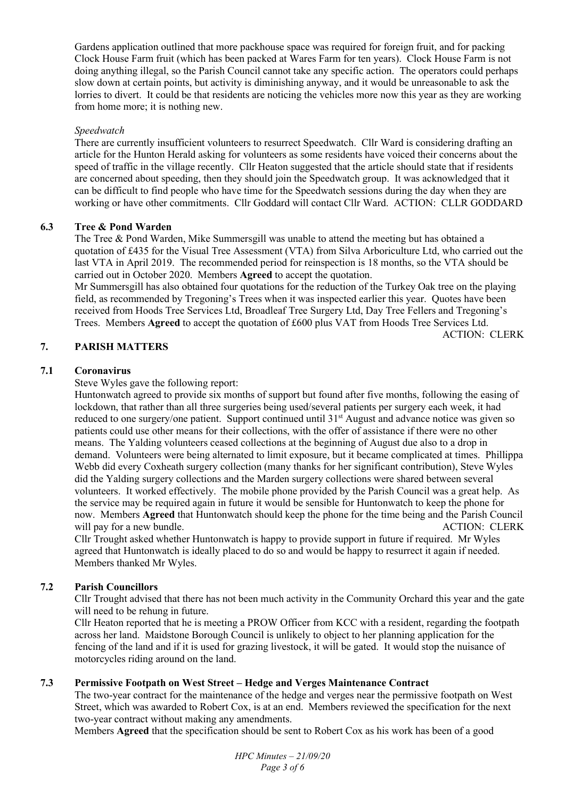Gardens application outlined that more packhouse space was required for foreign fruit, and for packing Clock House Farm fruit (which has been packed at Wares Farm for ten years). Clock House Farm is not doing anything illegal, so the Parish Council cannot take any specific action. The operators could perhaps slow down at certain points, but activity is diminishing anyway, and it would be unreasonable to ask the lorries to divert. It could be that residents are noticing the vehicles more now this year as they are working from home more; it is nothing new.

## *Speedwatch*

There are currently insufficient volunteers to resurrect Speedwatch. Cllr Ward is considering drafting an article for the Hunton Herald asking for volunteers as some residents have voiced their concerns about the speed of traffic in the village recently. Cllr Heaton suggested that the article should state that if residents are concerned about speeding, then they should join the Speedwatch group. It was acknowledged that it can be difficult to find people who have time for the Speedwatch sessions during the day when they are working or have other commitments. Cllr Goddard will contact Cllr Ward. ACTION: CLLR GODDARD

## **6.3 Tree & Pond Warden**

The Tree & Pond Warden, Mike Summersgill was unable to attend the meeting but has obtained a quotation of £435 for the Visual Tree Assessment (VTA) from Silva Arboriculture Ltd, who carried out the last VTA in April 2019. The recommended period for reinspection is 18 months, so the VTA should be carried out in October 2020. Members **Agreed** to accept the quotation.

Mr Summersgill has also obtained four quotations for the reduction of the Turkey Oak tree on the playing field, as recommended by Tregoning's Trees when it was inspected earlier this year. Quotes have been received from Hoods Tree Services Ltd, Broadleaf Tree Surgery Ltd, Day Tree Fellers and Tregoning's Trees. Members **Agreed** to accept the quotation of £600 plus VAT from Hoods Tree Services Ltd.

ACTION: CLERK

## **7. PARISH MATTERS**

## **7.1 Coronavirus**

Steve Wyles gave the following report:

Huntonwatch agreed to provide six months of support but found after five months, following the easing of lockdown, that rather than all three surgeries being used/several patients per surgery each week, it had reduced to one surgery/one patient. Support continued until 31<sup>st</sup> August and advance notice was given so patients could use other means for their collections, with the offer of assistance if there were no other means. The Yalding volunteers ceased collections at the beginning of August due also to a drop in demand. Volunteers were being alternated to limit exposure, but it became complicated at times. Phillippa Webb did every Coxheath surgery collection (many thanks for her significant contribution), Steve Wyles did the Yalding surgery collections and the Marden surgery collections were shared between several volunteers. It worked effectively. The mobile phone provided by the Parish Council was a great help. As the service may be required again in future it would be sensible for Huntonwatch to keep the phone for now. Members **Agreed** that Huntonwatch should keep the phone for the time being and the Parish Council will pay for a new bundle. ACTION: CLERK

Cllr Trought asked whether Huntonwatch is happy to provide support in future if required. Mr Wyles agreed that Huntonwatch is ideally placed to do so and would be happy to resurrect it again if needed. Members thanked Mr Wyles.

# **7.2 Parish Councillors**

Cllr Trought advised that there has not been much activity in the Community Orchard this year and the gate will need to be rehung in future.

Cllr Heaton reported that he is meeting a PROW Officer from KCC with a resident, regarding the footpath across her land. Maidstone Borough Council is unlikely to object to her planning application for the fencing of the land and if it is used for grazing livestock, it will be gated. It would stop the nuisance of motorcycles riding around on the land.

# **7.3 Permissive Footpath on West Street – Hedge and Verges Maintenance Contract**

The two-year contract for the maintenance of the hedge and verges near the permissive footpath on West Street, which was awarded to Robert Cox, is at an end. Members reviewed the specification for the next two-year contract without making any amendments.

Members **Agreed** that the specification should be sent to Robert Cox as his work has been of a good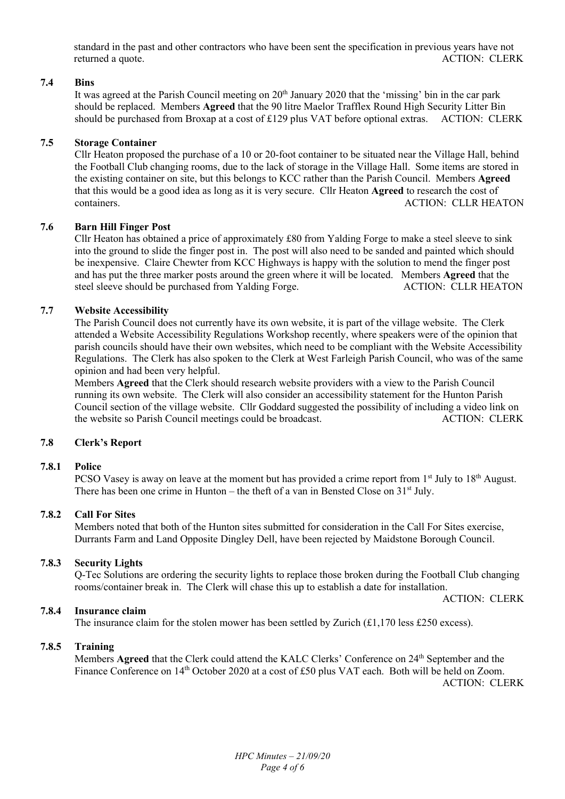standard in the past and other contractors who have been sent the specification in previous years have not returned a quote. ACTION: CLERK

## **7.4 Bins**

It was agreed at the Parish Council meeting on 20<sup>th</sup> January 2020 that the 'missing' bin in the car park should be replaced. Members **Agreed** that the 90 litre Maelor Trafflex Round High Security Litter Bin should be purchased from Broxap at a cost of £129 plus VAT before optional extras. ACTION: CLERK

## **7.5 Storage Container**

Cllr Heaton proposed the purchase of a 10 or 20-foot container to be situated near the Village Hall, behind the Football Club changing rooms, due to the lack of storage in the Village Hall. Some items are stored in the existing container on site, but this belongs to KCC rather than the Parish Council. Members **Agreed** that this would be a good idea as long as it is very secure. Cllr Heaton **Agreed** to research the cost of containers. ACTION: CLLR HEATON

#### **7.6 Barn Hill Finger Post**

Cllr Heaton has obtained a price of approximately £80 from Yalding Forge to make a steel sleeve to sink into the ground to slide the finger post in. The post will also need to be sanded and painted which should be inexpensive. Claire Chewter from KCC Highways is happy with the solution to mend the finger post and has put the three marker posts around the green where it will be located. Members **Agreed** that the steel sleeve should be purchased from Yalding Forge.

#### **7.7 Website Accessibility**

The Parish Council does not currently have its own website, it is part of the village website. The Clerk attended a Website Accessibility Regulations Workshop recently, where speakers were of the opinion that parish councils should have their own websites, which need to be compliant with the Website Accessibility Regulations. The Clerk has also spoken to the Clerk at West Farleigh Parish Council, who was of the same opinion and had been very helpful.

Members **Agreed** that the Clerk should research website providers with a view to the Parish Council running its own website. The Clerk will also consider an accessibility statement for the Hunton Parish Council section of the village website. Cllr Goddard suggested the possibility of including a video link on the website so Parish Council meetings could be broadcast. ACTION: CLERK

#### **7.8 Clerk's Report**

#### **7.8.1 Police**

PCSO Vasey is away on leave at the moment but has provided a crime report from  $1<sup>st</sup>$  July to  $18<sup>th</sup>$  August. There has been one crime in Hunton – the theft of a van in Bensted Close on  $31<sup>st</sup>$  July.

#### **7.8.2 Call For Sites**

Members noted that both of the Hunton sites submitted for consideration in the Call For Sites exercise, Durrants Farm and Land Opposite Dingley Dell, have been rejected by Maidstone Borough Council.

#### **7.8.3 Security Lights**

Q-Tec Solutions are ordering the security lights to replace those broken during the Football Club changing rooms/container break in. The Clerk will chase this up to establish a date for installation.

ACTION: CLERK

#### **7.8.4 Insurance claim**

The insurance claim for the stolen mower has been settled by Zurich  $(\text{\textsterling}1.170 \text{ less } \text{\textsterling}250 \text{ excess})$ .

#### **7.8.5 Training**

Members **Agreed** that the Clerk could attend the KALC Clerks' Conference on 24<sup>th</sup> September and the Finance Conference on 14<sup>th</sup> October 2020 at a cost of £50 plus VAT each. Both will be held on Zoom. ACTION: CLERK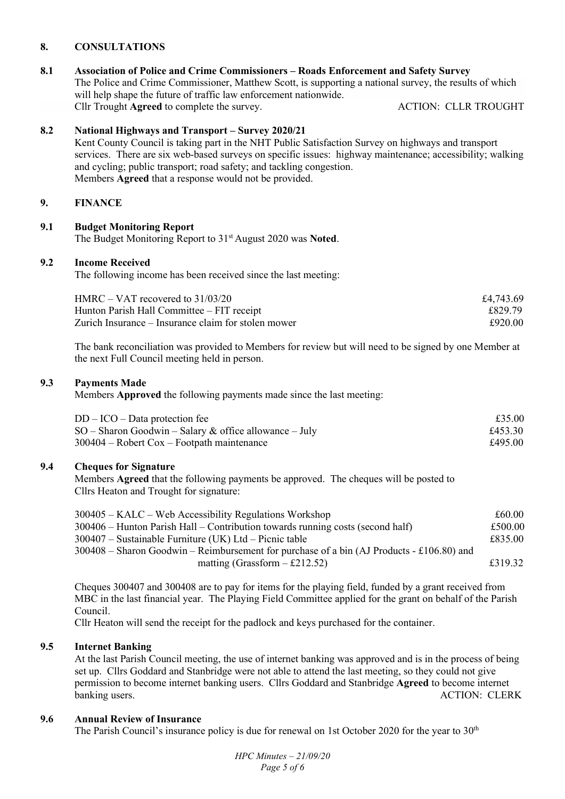## **8. CONSULTATIONS**

# **8.1 Association of Police and Crime Commissioners – Roads Enforcement and Safety Survey**

The Police and Crime Commissioner, Matthew Scott, is supporting a national survey, the results of which will help shape the future of traffic law enforcement nationwide. Cllr Trought **Agreed** to complete the survey. ACTION: CLLR TROUGHT

## **8.2 National Highways and Transport – Survey 2020/21**

Kent County Council is taking part in the NHT Public Satisfaction Survey on highways and transport services. There are six web-based surveys on specific issues: highway maintenance; accessibility; walking and cycling; public transport; road safety; and tackling congestion. Members **Agreed** that a response would not be provided.

## **9. FINANCE**

## **9.1 Budget Monitoring Report**

The Budget Monitoring Report to 31st August 2020 was **Noted**.

#### **9.2 Income Received**

The following income has been received since the last meeting:

| $HMRC - VAT$ recovered to $31/03/20$                | £4,743.69 |
|-----------------------------------------------------|-----------|
| Hunton Parish Hall Committee – FIT receipt          | £829.79   |
| Zurich Insurance – Insurance claim for stolen mower | £920.00   |

The bank reconciliation was provided to Members for review but will need to be signed by one Member at the next Full Council meeting held in person.

#### **9.3 Payments Made**

Members **Approved** the following payments made since the last meeting:

| $DD - ICO - Data protection fee$                         | £35.00  |
|----------------------------------------------------------|---------|
| $SO -$ Sharon Goodwin – Salary & office allowance – July | £453.30 |
| $300404 -$ Robert Cox – Footpath maintenance             | £495.00 |

## **9.4 Cheques for Signature**

Members **Agreed** that the following payments be approved. The cheques will be posted to Cllrs Heaton and Trought for signature:

| $300405 - KALC - Web Accessibility Requirements Workshop$                                   | £60.00  |
|---------------------------------------------------------------------------------------------|---------|
| $300406$ – Hunton Parish Hall – Contribution towards running costs (second half)            | £500.00 |
| $300407$ – Sustainable Furniture (UK) Ltd – Picnic table                                    | £835.00 |
| $300408$ – Sharon Goodwin – Reimbursement for purchase of a bin (AJ Products - £106.80) and |         |
| matting (Grassform $-$ £212.52)                                                             | £319.32 |

Cheques 300407 and 300408 are to pay for items for the playing field, funded by a grant received from MBC in the last financial year. The Playing Field Committee applied for the grant on behalf of the Parish Council.

Cllr Heaton will send the receipt for the padlock and keys purchased for the container.

# **9.5 Internet Banking**

At the last Parish Council meeting, the use of internet banking was approved and is in the process of being set up. Cllrs Goddard and Stanbridge were not able to attend the last meeting, so they could not give permission to become internet banking users. Cllrs Goddard and Stanbridge **Agreed** to become internet banking users. ACTION: CLERK

#### **9.6 Annual Review of Insurance**

The Parish Council's insurance policy is due for renewal on 1st October 2020 for the year to 30<sup>th</sup>